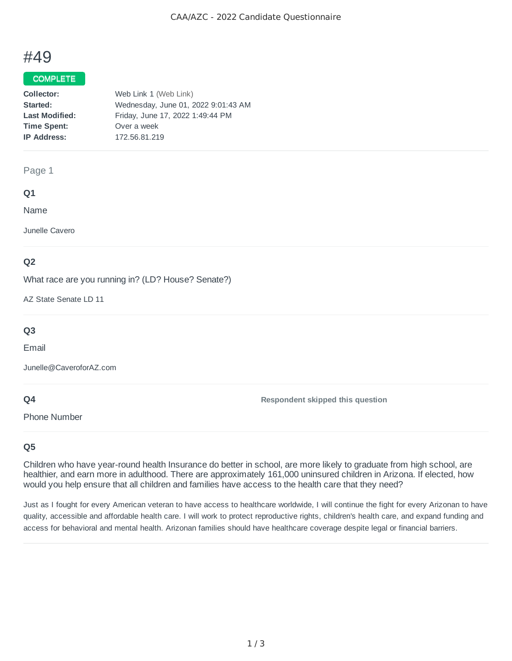# #49

## COMPLETE

| Collector:            | Web Link 1 (Web Link)               |
|-----------------------|-------------------------------------|
| Started:              | Wednesday, June 01, 2022 9:01:43 AM |
| <b>Last Modified:</b> | Friday, June 17, 2022 1:49:44 PM    |
| <b>Time Spent:</b>    | Over a week                         |
| <b>IP Address:</b>    | 172.56.81.219                       |
|                       |                                     |

#### Page 1

## **Q1**

Name

Junelle Cavero

## **Q2**

What race are you running in? (LD? House? Senate?)

AZ State Senate LD 11

## **Q3**

Email

Junelle@CaveroforAZ.com

## **Q4**

Phone Number

## **Q5**

Children who have year-round health Insurance do better in school, are more likely to graduate from high school, are healthier, and earn more in adulthood. There are approximately 161,000 uninsured children in Arizona. If elected, how would you help ensure that all children and families have access to the health care that they need?

**Respondent skipped this question**

Just as I fought for every American veteran to have access to healthcare worldwide, I will continue the fight for every Arizonan to have quality, accessible and affordable health care. I will work to protect reproductive rights, children's health care, and expand funding and access for behavioral and mental health. Arizonan families should have healthcare coverage despite legal or financial barriers.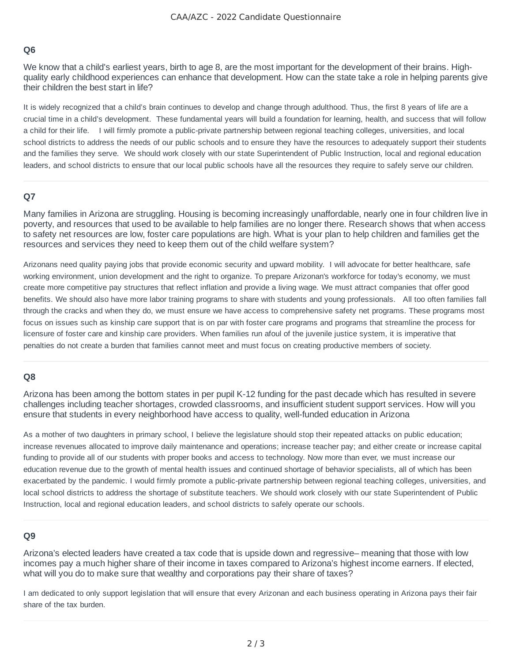## **Q6**

We know that a child's earliest years, birth to age 8, are the most important for the development of their brains. Highquality early childhood experiences can enhance that development. How can the state take a role in helping parents give their children the best start in life?

It is widely recognized that a child's brain continues to develop and change through adulthood. Thus, the first 8 years of life are a crucial time in a child's development. These fundamental years will build a foundation for learning, health, and success that will follow a child for their life. I will firmly promote a public-private partnership between regional teaching colleges, universities, and local school districts to address the needs of our public schools and to ensure they have the resources to adequately support their students and the families they serve. We should work closely with our state Superintendent of Public Instruction, local and regional education leaders, and school districts to ensure that our local public schools have all the resources they require to safely serve our children.

## **Q7**

Many families in Arizona are struggling. Housing is becoming increasingly unaffordable, nearly one in four children live in poverty, and resources that used to be available to help families are no longer there. Research shows that when access to safety net resources are low, foster care populations are high. What is your plan to help children and families get the resources and services they need to keep them out of the child welfare system?

Arizonans need quality paying jobs that provide economic security and upward mobility. I will advocate for better healthcare, safe working environment, union development and the right to organize. To prepare Arizonan's workforce for today's economy, we must create more competitive pay structures that reflect inflation and provide a living wage. We must attract companies that offer good benefits. We should also have more labor training programs to share with students and young professionals. All too often families fall through the cracks and when they do, we must ensure we have access to comprehensive safety net programs. These programs most focus on issues such as kinship care support that is on par with foster care programs and programs that streamline the process for licensure of foster care and kinship care providers. When families run afoul of the juvenile justice system, it is imperative that penalties do not create a burden that families cannot meet and must focus on creating productive members of society.

## **Q8**

Arizona has been among the bottom states in per pupil K-12 funding for the past decade which has resulted in severe challenges including teacher shortages, crowded classrooms, and insufficient student support services. How will you ensure that students in every neighborhood have access to quality, well-funded education in Arizona

As a mother of two daughters in primary school, I believe the legislature should stop their repeated attacks on public education; increase revenues allocated to improve daily maintenance and operations; increase teacher pay; and either create or increase capital funding to provide all of our students with proper books and access to technology. Now more than ever, we must increase our education revenue due to the growth of mental health issues and continued shortage of behavior specialists, all of which has been exacerbated by the pandemic. I would firmly promote a public-private partnership between regional teaching colleges, universities, and local school districts to address the shortage of substitute teachers. We should work closely with our state Superintendent of Public Instruction, local and regional education leaders, and school districts to safely operate our schools.

## **Q9**

Arizona's elected leaders have created a tax code that is upside down and regressive– meaning that those with low incomes pay a much higher share of their income in taxes compared to Arizona's highest income earners. If elected, what will you do to make sure that wealthy and corporations pay their share of taxes?

I am dedicated to only support legislation that will ensure that every Arizonan and each business operating in Arizona pays their fair share of the tax burden.